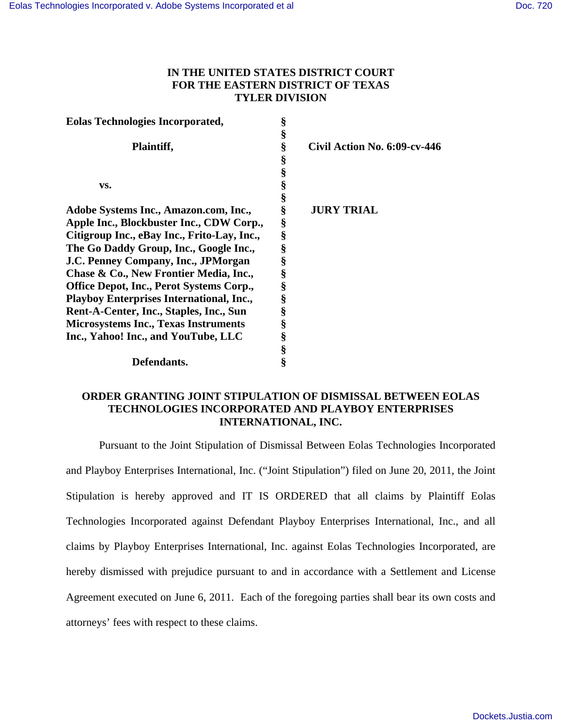## **IN THE UNITED STATES DISTRICT COURT FOR THE EASTERN DISTRICT OF TEXAS TYLER DIVISION**

| <b>Eolas Technologies Incorporated,</b>         | § |                                 |
|-------------------------------------------------|---|---------------------------------|
|                                                 | § |                                 |
| Plaintiff,                                      | § | Civil Action No. $6:09$ -cv-446 |
|                                                 | § |                                 |
|                                                 | § |                                 |
| VS.                                             | § |                                 |
|                                                 | § |                                 |
| Adobe Systems Inc., Amazon.com, Inc.,           | § | <b>JURY TRIAL</b>               |
| Apple Inc., Blockbuster Inc., CDW Corp.,        | § |                                 |
| Citigroup Inc., eBay Inc., Frito-Lay, Inc.,     | § |                                 |
| The Go Daddy Group, Inc., Google Inc.,          | § |                                 |
| J.C. Penney Company, Inc., JPMorgan             | § |                                 |
| Chase & Co., New Frontier Media, Inc.,          | § |                                 |
| <b>Office Depot, Inc., Perot Systems Corp.,</b> | § |                                 |
| <b>Playboy Enterprises International, Inc.,</b> | § |                                 |
| Rent-A-Center, Inc., Staples, Inc., Sun         | § |                                 |
| <b>Microsystems Inc., Texas Instruments</b>     | § |                                 |
| Inc., Yahoo! Inc., and YouTube, LLC             | § |                                 |
|                                                 | § |                                 |
| Defendants.                                     | ş |                                 |

## **ORDER GRANTING JOINT STIPULATION OF DISMISSAL BETWEEN EOLAS TECHNOLOGIES INCORPORATED AND PLAYBOY ENTERPRISES INTERNATIONAL, INC.**

Pursuant to the Joint Stipulation of Dismissal Between Eolas Technologies Incorporated and Playboy Enterprises International, Inc. ("Joint Stipulation") filed on June 20, 2011, the Joint Stipulation is hereby approved and IT IS ORDERED that all claims by Plaintiff Eolas Technologies Incorporated against Defendant Playboy Enterprises International, Inc., and all claims by Playboy Enterprises International, Inc. against Eolas Technologies Incorporated, are hereby dismissed with prejudice pursuant to and in accordance with a Settlement and License Agreement executed on June 6, 2011. Each of the foregoing parties shall bear its own costs and attorneys' fees with respect to these claims.